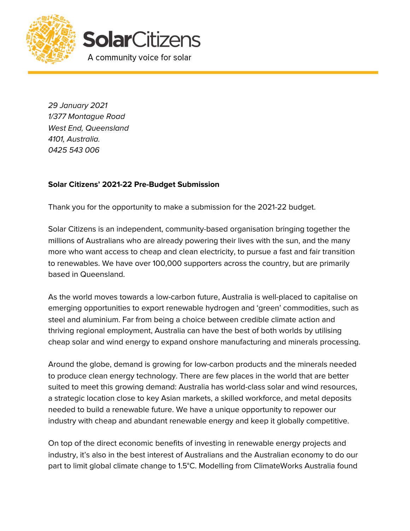

29 January 2021 1/377 Montague Road West End, Queensland 4101, Australia. 0425 543 006

## **Solar Citizens' 2021-22 Pre-Budget Submission**

Thank you for the opportunity to make a submission for the 2021-22 budget.

Solar Citizens is an independent, community-based organisation bringing together the millions of Australians who are already powering their lives with the sun, and the many more who want access to cheap and clean electricity, to pursue a fast and fair transition to renewables. We have over 100,000 supporters across the country, but are primarily based in Queensland.

As the world moves towards a low-carbon future, Australia is well-placed to capitalise on emerging opportunities to export renewable hydrogen and 'green' commodities, such as steel and aluminium. Far from being a choice between credible climate action and thriving regional employment, Australia can have the best of both worlds by utilising cheap solar and wind energy to expand onshore manufacturing and minerals processing.

Around the globe, demand is growing for low-carbon products and the minerals needed to produce clean energy technology. There are few places in the world that are better suited to meet this growing demand: Australia has world-class solar and wind resources, a strategic location close to key Asian markets, a skilled workforce, and metal deposits needed to build a renewable future. We have a unique opportunity to repower our industry with cheap and abundant renewable energy and keep it globally competitive.

On top of the direct economic benefits of investing in renewable energy projects and industry, it's also in the best interest of Australians and the Australian economy to do our part to limit global climate change to 1.5°C. Modelling from ClimateWorks Australia found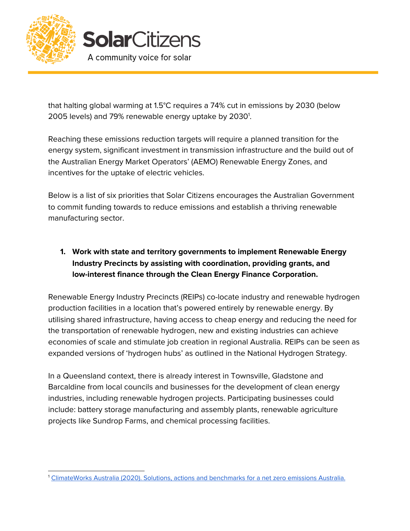



that halting global warming at 1.5°C requires a 74% cut in emissions by 2030 (below 2005 levels) and 79% renewable energy uptake by 2030<sup>1</sup>.

Reaching these emissions reduction targets will require a planned transition for the energy system, significant investment in transmission infrastructure and the build out of the Australian Energy Market Operators' (AEMO) Renewable Energy Zones, and incentives for the uptake of electric vehicles.

Below is a list of six priorities that Solar Citizens encourages the Australian Government to commit funding towards to reduce emissions and establish a thriving renewable manufacturing sector.

**1. Work with state and territory governments to implement Renewable Energy Industry Precincts by assisting with coordination, providing grants, and low-interest finance through the Clean Energy Finance Corporation.**

Renewable Energy Industry Precincts (REIPs) co-locate industry and renewable hydrogen production facilities in a location that's powered entirely by renewable energy. By utilising shared infrastructure, having access to cheap energy and reducing the need for the transportation of renewable hydrogen, new and existing industries can achieve economies of scale and stimulate job creation in regional Australia. REIPs can be seen as expanded versions of 'hydrogen hubs' as outlined in the National Hydrogen Strategy.

In a Queensland context, there is already interest in Townsville, Gladstone and Barcaldine from local councils and businesses for the development of clean energy industries, including renewable hydrogen projects. Participating businesses could include: battery storage manufacturing and assembly plants, renewable agriculture projects like Sundrop Farms, and chemical processing facilities.

<sup>1</sup> [ClimateWorks](https://www.climateworksaustralia.org/wp-content/uploads/2020/04/Decarbonisation-Futures-March-2020-full-report-.pdf) Australia (2020). Solutions, actions and benchmarks for a net zero emissions Australia.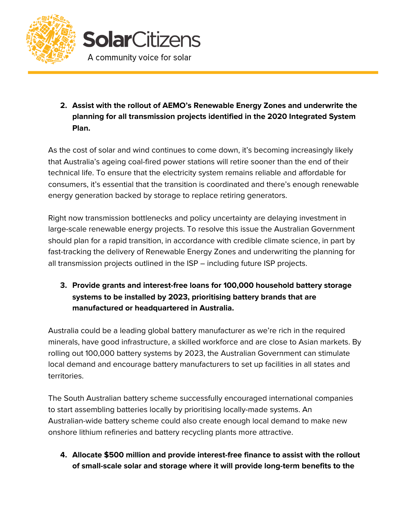



**2. Assist with the rollout of AEMO's Renewable Energy Zones and underwrite the planning for all transmission projects identified in the 2020 Integrated System Plan.**

As the cost of solar and wind continues to come down, it's becoming increasingly likely that Australia's ageing coal-fired power stations will retire sooner than the end of their technical life. To ensure that the electricity system remains reliable and affordable for consumers, it's essential that the transition is coordinated and there's enough renewable energy generation backed by storage to replace retiring generators.

Right now transmission bottlenecks and policy uncertainty are delaying investment in large-scale renewable energy projects. To resolve this issue the Australian Government should plan for a rapid transition, in accordance with credible climate science, in part by fast-tracking the delivery of Renewable Energy Zones and underwriting the planning for all transmission projects outlined in the ISP – including future ISP projects.

**3. Provide grants and interest-free loans for 100,000 household battery storage systems to be installed by 2023, prioritising battery brands that are manufactured or headquartered in Australia.**

Australia could be a leading global battery manufacturer as we're rich in the required minerals, have good infrastructure, a skilled workforce and are close to Asian markets. By rolling out 100,000 battery systems by 2023, the Australian Government can stimulate local demand and encourage battery manufacturers to set up facilities in all states and territories.

The South Australian battery scheme successfully encouraged international companies to start assembling batteries locally by prioritising locally-made systems. An Australian-wide battery scheme could also create enough local demand to make new onshore lithium refineries and battery recycling plants more attractive.

**4. Allocate \$500 million and provide interest-free finance to assist with the rollout of small-scale solar and storage where it will provide long-term benefits to the**